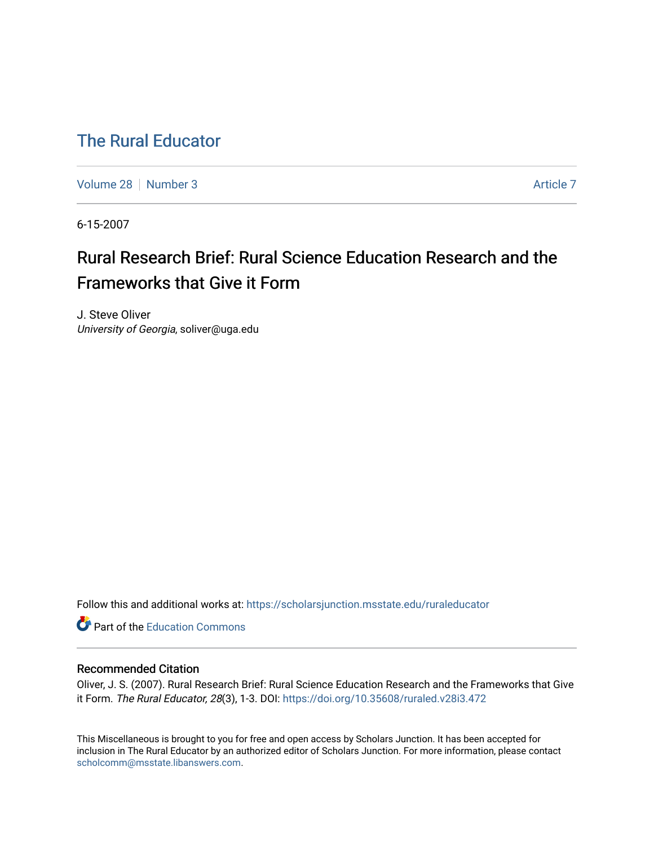### [The Rural Educator](https://scholarsjunction.msstate.edu/ruraleducator)

[Volume 28](https://scholarsjunction.msstate.edu/ruraleducator/vol28) [Number 3](https://scholarsjunction.msstate.edu/ruraleducator/vol28/iss3) [Article 7](https://scholarsjunction.msstate.edu/ruraleducator/vol28/iss3/7) Article 7 Article 7 Article 7 Article 7 Article 7 Article 7

6-15-2007

## Rural Research Brief: Rural Science Education Research and the Frameworks that Give it Form

J. Steve Oliver University of Georgia, soliver@uga.edu

Follow this and additional works at: [https://scholarsjunction.msstate.edu/ruraleducator](https://scholarsjunction.msstate.edu/ruraleducator?utm_source=scholarsjunction.msstate.edu%2Fruraleducator%2Fvol28%2Fiss3%2F7&utm_medium=PDF&utm_campaign=PDFCoverPages)

Part of the [Education Commons](http://network.bepress.com/hgg/discipline/784?utm_source=scholarsjunction.msstate.edu%2Fruraleducator%2Fvol28%2Fiss3%2F7&utm_medium=PDF&utm_campaign=PDFCoverPages)

### Recommended Citation

Oliver, J. S. (2007). Rural Research Brief: Rural Science Education Research and the Frameworks that Give it Form. The Rural Educator, 28(3), 1-3. DOI: <https://doi.org/10.35608/ruraled.v28i3.472>

This Miscellaneous is brought to you for free and open access by Scholars Junction. It has been accepted for inclusion in The Rural Educator by an authorized editor of Scholars Junction. For more information, please contact [scholcomm@msstate.libanswers.com.](mailto:scholcomm@msstate.libanswers.com)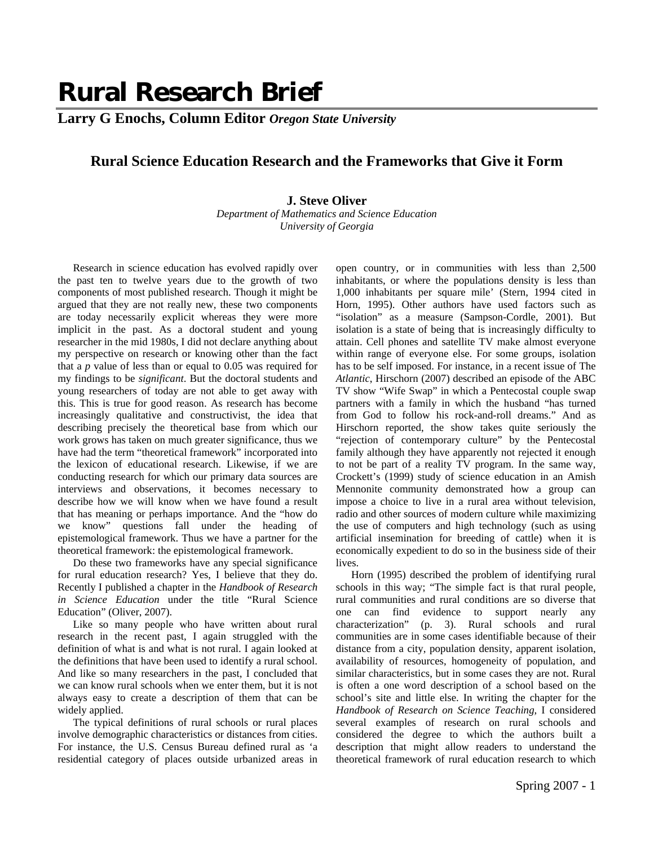# **Rural Research Brief**

**Larry G Enochs, Column Editor** *Oregon State University*

### **Rural Science Education Research and the Frameworks that Give it Form**

### **J. Steve Oliver**

*Department of Mathematics and Science Education University of Georgia* 

Research in science education has evolved rapidly over the past ten to twelve years due to the growth of two components of most published research. Though it might be argued that they are not really new, these two components are today necessarily explicit whereas they were more implicit in the past. As a doctoral student and young researcher in the mid 1980s, I did not declare anything about my perspective on research or knowing other than the fact that a *p* value of less than or equal to 0.05 was required for my findings to be *significant*. But the doctoral students and young researchers of today are not able to get away with this. This is true for good reason. As research has become increasingly qualitative and constructivist, the idea that describing precisely the theoretical base from which our work grows has taken on much greater significance, thus we have had the term "theoretical framework" incorporated into the lexicon of educational research. Likewise, if we are conducting research for which our primary data sources are interviews and observations, it becomes necessary to describe how we will know when we have found a result that has meaning or perhaps importance. And the "how do we know" questions fall under the heading of epistemological framework. Thus we have a partner for the theoretical framework: the epistemological framework.

Do these two frameworks have any special significance for rural education research? Yes, I believe that they do. Recently I published a chapter in the *Handbook of Research in Science Education* under the title "Rural Science Education" (Oliver, 2007).

Like so many people who have written about rural research in the recent past, I again struggled with the definition of what is and what is not rural. I again looked at the definitions that have been used to identify a rural school. And like so many researchers in the past, I concluded that we can know rural schools when we enter them, but it is not always easy to create a description of them that can be widely applied.

The typical definitions of rural schools or rural places involve demographic characteristics or distances from cities. For instance, the U.S. Census Bureau defined rural as 'a residential category of places outside urbanized areas in

open country, or in communities with less than 2,500 inhabitants, or where the populations density is less than 1,000 inhabitants per square mile' (Stern, 1994 cited in Horn, 1995). Other authors have used factors such as "isolation" as a measure (Sampson-Cordle, 2001). But isolation is a state of being that is increasingly difficulty to attain. Cell phones and satellite TV make almost everyone within range of everyone else. For some groups, isolation has to be self imposed. For instance, in a recent issue of The *Atlantic*, Hirschorn (2007) described an episode of the ABC TV show "Wife Swap" in which a Pentecostal couple swap partners with a family in which the husband "has turned from God to follow his rock-and-roll dreams." And as Hirschorn reported, the show takes quite seriously the "rejection of contemporary culture" by the Pentecostal family although they have apparently not rejected it enough to not be part of a reality TV program. In the same way, Crockett's (1999) study of science education in an Amish Mennonite community demonstrated how a group can impose a choice to live in a rural area without television, radio and other sources of modern culture while maximizing the use of computers and high technology (such as using artificial insemination for breeding of cattle) when it is economically expedient to do so in the business side of their lives.

Horn (1995) described the problem of identifying rural schools in this way; "The simple fact is that rural people, rural communities and rural conditions are so diverse that one can find evidence to support nearly any characterization" (p. 3). Rural schools and rural communities are in some cases identifiable because of their distance from a city, population density, apparent isolation, availability of resources, homogeneity of population, and similar characteristics, but in some cases they are not. Rural is often a one word description of a school based on the school's site and little else. In writing the chapter for the *Handbook of Research on Science Teaching*, I considered several examples of research on rural schools and considered the degree to which the authors built a description that might allow readers to understand the theoretical framework of rural education research to which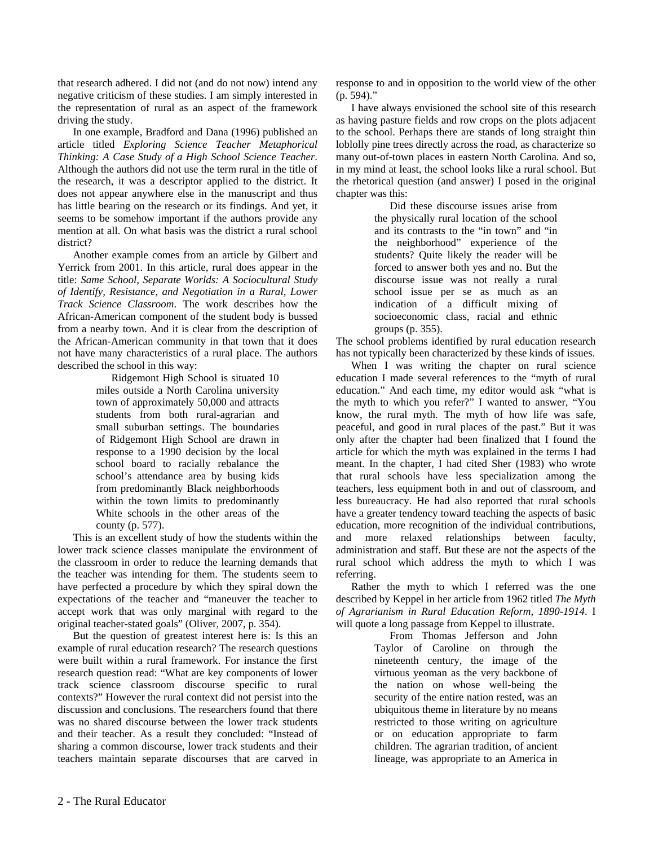that research adhered. I did not (and do not now) intend any negative criticism of these studies. I am simply interested in the representation of rural as an aspect of the framework driving the study.

In one example, Bradford and Dana (1996) published an article titled *Exploring Science Teacher Metaphorical Thinking: A Case Study of a High School Science Teacher*. Although the authors did not use the term rural in the title of the research, it was a descriptor applied to the district. It does not appear anywhere else in the manuscript and thus has little bearing on the research or its findings. And yet, it seems to be somehow important if the authors provide any mention at all. On what basis was the district a rural school district?

Another example comes from an article by Gilbert and Yerrick from 2001. In this article, rural does appear in the title: *Same School, Separate Worlds: A Sociocultural Study of Identify, Resistance, and Negotiation in a Rural, Lower Track Science Classroom*. The work describes how the African-American component of the student body is bussed from a nearby town. And it is clear from the description of the African-American community in that town that it does not have many characteristics of a rural place. The authors described the school in this way:

> Ridgemont High School is situated 10 miles outside a North Carolina university town of approximately 50,000 and attracts students from both rural-agrarian and small suburban settings. The boundaries of Ridgemont High School are drawn in response to a 1990 decision by the local school board to racially rebalance the school's attendance area by busing kids from predominantly Black neighborhoods within the town limits to predominantly White schools in the other areas of the county (p. 577).

This is an excellent study of how the students within the lower track science classes manipulate the environment of the classroom in order to reduce the learning demands that the teacher was intending for them. The students seem to have perfected a procedure by which they spiral down the expectations of the teacher and "maneuver the teacher to accept work that was only marginal with regard to the original teacher-stated goals" (Oliver, 2007, p. 354).

But the question of greatest interest here is: Is this an example of rural education research? The research questions were built within a rural framework. For instance the first research question read: "What are key components of lower track science classroom discourse specific to rural contexts?" However the rural context did not persist into the discussion and conclusions. The researchers found that there was no shared discourse between the lower track students and their teacher. As a result they concluded: "Instead of sharing a common discourse, lower track students and their teachers maintain separate discourses that are carved in response to and in opposition to the world view of the other (p. 594)."

I have always envisioned the school site of this research as having pasture fields and row crops on the plots adjacent to the school. Perhaps there are stands of long straight thin loblolly pine trees directly across the road, as characterize so many out-of-town places in eastern North Carolina. And so, in my mind at least, the school looks like a rural school. But the rhetorical question (and answer) I posed in the original chapter was this:

> Did these discourse issues arise from the physically rural location of the school and its contrasts to the "in town" and "in the neighborhood" experience of the students? Quite likely the reader will be forced to answer both yes and no. But the discourse issue was not really a rural school issue per se as much as an indication of a difficult mixing of socioeconomic class, racial and ethnic groups (p. 355).

The school problems identified by rural education research has not typically been characterized by these kinds of issues.

When I was writing the chapter on rural science education I made several references to the "myth of rural education." And each time, my editor would ask "what is the myth to which you refer?" I wanted to answer, "You know, the rural myth. The myth of how life was safe, peaceful, and good in rural places of the past." But it was only after the chapter had been finalized that I found the article for which the myth was explained in the terms I had meant. In the chapter, I had cited Sher (1983) who wrote that rural schools have less specialization among the teachers, less equipment both in and out of classroom, and less bureaucracy. He had also reported that rural schools have a greater tendency toward teaching the aspects of basic education, more recognition of the individual contributions, and more relaxed relationships between faculty, administration and staff. But these are not the aspects of the rural school which address the myth to which I was referring.

Rather the myth to which I referred was the one described by Keppel in her article from 1962 titled *The Myth of Agrarianism in Rural Education Reform, 1890-1914*. I will quote a long passage from Keppel to illustrate.

From Thomas Jefferson and John Taylor of Caroline on through the nineteenth century, the image of the virtuous yeoman as the very backbone of the nation on whose well-being the security of the entire nation rested, was an ubiquitous theme in literature by no means restricted to those writing on agriculture or on education appropriate to farm children. The agrarian tradition, of ancient lineage, was appropriate to an America in